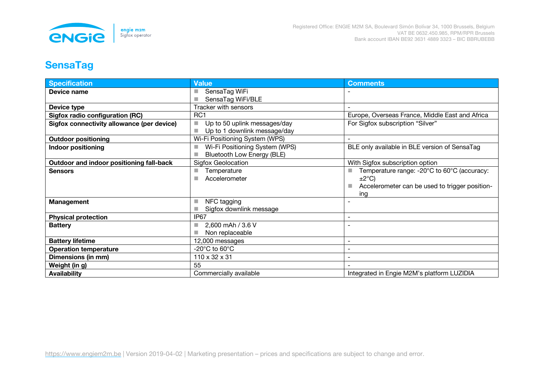

## **SensaTag**

| <b>Specification</b>                       | <b>Value</b>                                                      | <b>Comments</b>                                                      |
|--------------------------------------------|-------------------------------------------------------------------|----------------------------------------------------------------------|
| Device name                                | SensaTag WiFi                                                     |                                                                      |
|                                            | SensaTag WiFi/BLE                                                 |                                                                      |
| Device type                                | <b>Tracker with sensors</b>                                       |                                                                      |
| Sigfox radio configuration (RC)            | RC <sub>1</sub>                                                   | Europe, Overseas France, Middle East and Africa                      |
| Sigfox connectivity allowance (per device) | Up to 50 uplink messages/day<br>٠<br>Up to 1 downlink message/day | For Sigfox subscription "Silver"                                     |
| <b>Outdoor positioning</b>                 | Wi-Fi Positioning System (WPS)                                    |                                                                      |
| <b>Indoor positioning</b>                  | Wi-Fi Positioning System (WPS)<br>Bluetooth Low Energy (BLE)      | BLE only available in BLE version of SensaTag                        |
|                                            |                                                                   |                                                                      |
| Outdoor and indoor positioning fall-back   | <b>Sigfox Geolocation</b>                                         | With Sigfox subscription option                                      |
| <b>Sensors</b>                             | Temperature<br>п                                                  | Temperature range: -20°C to 60°C (accuracy:                          |
|                                            | Accelerometer<br>٠                                                | $\pm 2^{\circ}$ C)<br>Accelerometer can be used to trigger position- |
|                                            |                                                                   | ing                                                                  |
| Management                                 | NFC tagging<br>п                                                  |                                                                      |
|                                            | Sigfox downlink message                                           |                                                                      |
| <b>Physical protection</b>                 | IP <sub>67</sub>                                                  |                                                                      |
| <b>Battery</b>                             | 2,600 mAh / 3.6 V                                                 |                                                                      |
|                                            | Non replaceable                                                   |                                                                      |
| <b>Battery lifetime</b>                    | 12,000 messages                                                   | $\overline{\phantom{a}}$                                             |
| <b>Operation temperature</b>               | -20 $^{\circ}$ C to 60 $^{\circ}$ C                               |                                                                      |
| Dimensions (in mm)                         | 110 x 32 x 31                                                     |                                                                      |
| Weight (in g)                              | 55                                                                |                                                                      |
| <b>Availability</b>                        | Commercially available                                            | Integrated in Engie M2M's platform LUZIDIA                           |